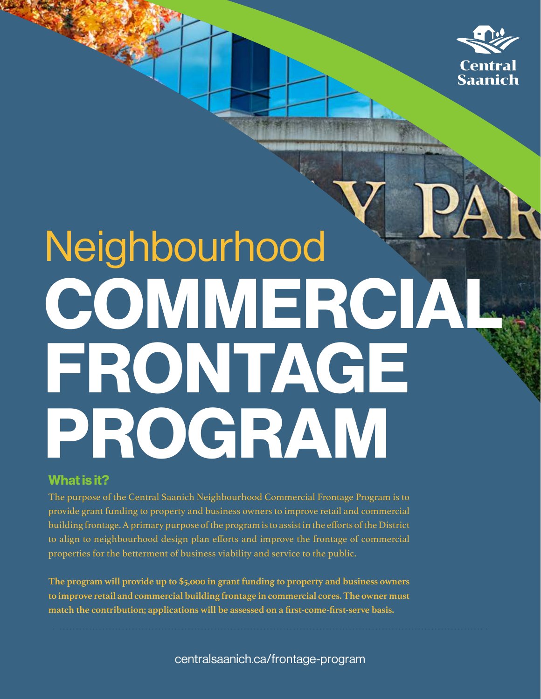

# Neighbourhood COMMERCIAL FRONTAGE PROGRAM

# **What is it?**

The purpose of the Central Saanich Neighbourhood Commercial Frontage Program is to provide grant funding to property and business owners to improve retail and commercial building frontage. A primary purpose of the program is to assist in the efforts of the District to align to neighbourhood design plan efforts and improve the frontage of commercial properties for the betterment of business viability and service to the public.

**The program will provide up to \$5,000 in grant funding to property and business owners to improve retail and commercial building frontage in commercial cores. The owner must match the contribution; applications will be assessed on a first-come-first-serve basis.**

centralsaanich.ca/frontage-program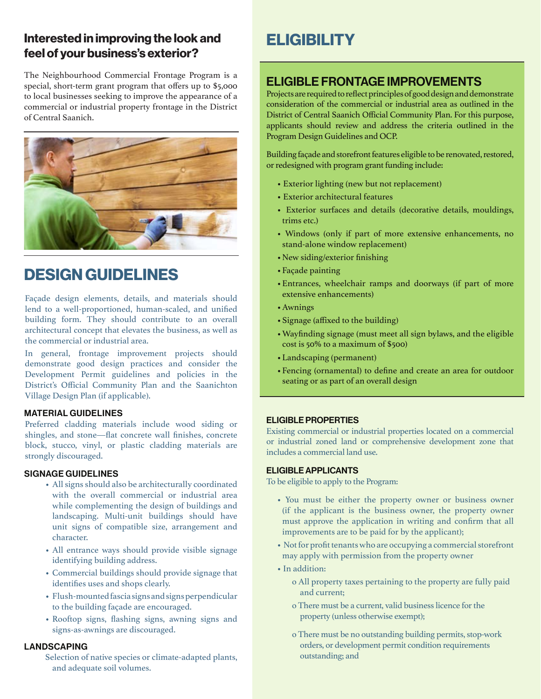# **Interested in improving the look and ELIGIBILITY feel of your business's exterior?**

The Neighbourhood Commercial Frontage Program is a special, short-term grant program that offers up to \$5,000 to local businesses seeking to improve the appearance of a commercial or industrial property frontage in the District of Central Saanich.



# **DESIGN GUIDELINES**

Façade design elements, details, and materials should lend to a well-proportioned, human-scaled, and unified building form. They should contribute to an overall architectural concept that elevates the business, as well as the commercial or industrial area.

In general, frontage improvement projects should demonstrate good design practices and consider the Development Permit guidelines and policies in the District's Official Community Plan and the Saanichton Village Design Plan (if applicable).

### MATERIAL GUIDELINES

Preferred cladding materials include wood siding or shingles, and stone—flat concrete wall finishes, concrete block, stucco, vinyl, or plastic cladding materials are strongly discouraged.

#### SIGNAGE GUIDELINES

- All signs should also be architecturally coordinated with the overall commercial or industrial area while complementing the design of buildings and landscaping. Multi-unit buildings should have unit signs of compatible size, arrangement and character.
- All entrance ways should provide visible signage identifying building address.
- Commercial buildings should provide signage that identifies uses and shops clearly.
- Flush-mounted fascia signs and signs perpendicular to the building façade are encouraged.
- Rooftop signs, flashing signs, awning signs and signs-as-awnings are discouraged.

### LANDSCAPING

Selection of native species or climate-adapted plants, and adequate soil volumes.

## ELIGIBLE FRONTAGE IMPROVEMENTS

Projects are required to reflect principles of good design and demonstrate consideration of the commercial or industrial area as outlined in the District of Central Saanich Official Community Plan. For this purpose, applicants should review and address the criteria outlined in the Program Design Guidelines and OCP.

Building façade and storefront features eligible to be renovated, restored, or redesigned with program grant funding include:

- Exterior lighting (new but not replacement)
- Exterior architectural features
- Exterior surfaces and details (decorative details, mouldings, trims etc.)
- Windows (only if part of more extensive enhancements, no stand-alone window replacement)
- •New siding/exterior finishing
- •Façade painting
- •Entrances, wheelchair ramps and doorways (if part of more extensive enhancements)
- •Awnings
- •Signage (affixed to the building)
- •Wayfinding signage (must meet all sign bylaws, and the eligible cost is 50% to a maximum of \$500)
- •Landscaping (permanent)
- •Fencing (ornamental) to define and create an area for outdoor seating or as part of an overall design

### ELIGIBLE PROPERTIES

Existing commercial or industrial properties located on a commercial or industrial zoned land or comprehensive development zone that includes a commercial land use.

### ELIGIBLE APPLICANTS

To be eligible to apply to the Program:

- You must be either the property owner or business owner (if the applicant is the business owner, the property owner must approve the application in writing and confirm that all improvements are to be paid for by the applicant);
- Not for profit tenants who are occupying a commercial storefront may apply with permission from the property owner
- In addition:
	- o All property taxes pertaining to the property are fully paid and current;
	- o There must be a current, valid business licence for the property (unless otherwise exempt);
	- o There must be no outstanding building permits, stop-work orders, or development permit condition requirements outstanding; and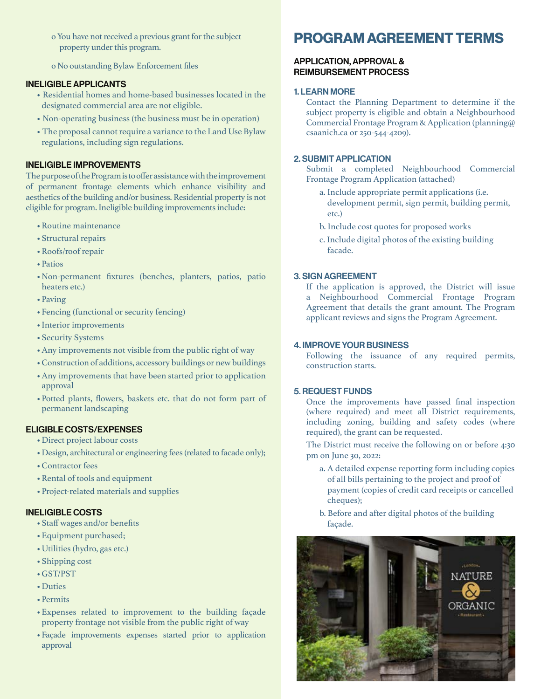- o You have not received a previous grant for the subject property under this program.
- o No outstanding Bylaw Enforcement files

#### INELIGIBLE APPLICANTS

- Residential homes and home-based businesses located in the designated commercial area are not eligible.
- Non-operating business (the business must be in operation)
- The proposal cannot require a variance to the Land Use Bylaw regulations, including sign regulations.

#### INELIGIBLE IMPROVEMENTS

The purpose of the Program is to offer assistance with the improvement of permanent frontage elements which enhance visibility and aesthetics of the building and/or business. Residential property is not eligible for program. Ineligible building improvements include:

- •Routine maintenance
- •Structural repairs
- •Roofs/roof repair
- •Patios
- •Non-permanent fixtures (benches, planters, patios, patio heaters etc.)
- •Paving
- •Fencing (functional or security fencing)
- •Interior improvements
- •Security Systems
- •Any improvements not visible from the public right of way
- •Construction of additions, accessory buildings or new buildings
- •Any improvements that have been started prior to application approval
- •Potted plants, flowers, baskets etc. that do not form part of permanent landscaping

#### ELIGIBLE COSTS/EXPENSES

- •Direct project labour costs
- •Design, architectural or engineering fees (related to facade only);
- •Contractor fees
- •Rental of tools and equipment
- •Project-related materials and supplies

### INELIGIBLE COSTS

- •Staff wages and/or benefits
- •Equipment purchased;
- •Utilities (hydro, gas etc.)
- •Shipping cost
- •GST/PST
- •Duties
- •Permits
- •Expenses related to improvement to the building façade property frontage not visible from the public right of way
- •Façade improvements expenses started prior to application approval

# **PROGRAM AGREEMENT TERMS**

#### APPLICATION, APPROVAL & REIMBURSEMENT PROCESS

#### 1. LEARN MORE

Contact the Planning Department to determine if the subject property is eligible and obtain a Neighbourhood Commercial Frontage Program & Application (planning@ csaanich.ca or 250-544-4209).

#### 2. SUBMIT APPLICATION

Submit a completed Neighbourhood Commercial Frontage Program Application (attached)

- a. Include appropriate permit applications (i.e. development permit, sign permit, building permit, etc.)
- b. Include cost quotes for proposed works
- c. Include digital photos of the existing building facade.

#### 3. SIGN AGREEMENT

If the application is approved, the District will issue a Neighbourhood Commercial Frontage Program Agreement that details the grant amount. The Program applicant reviews and signs the Program Agreement.

#### 4. IMPROVE YOUR BUSINESS

Following the issuance of any required permits, construction starts.

#### 5. REQUEST FUNDS

Once the improvements have passed final inspection (where required) and meet all District requirements, including zoning, building and safety codes (where required), the grant can be requested.

The District must receive the following on or before 4:30 pm on June 30, 2022:

- a. A detailed expense reporting form including copies of all bills pertaining to the project and proof of payment (copies of credit card receipts or cancelled cheques);
- b. Before and after digital photos of the building façade.